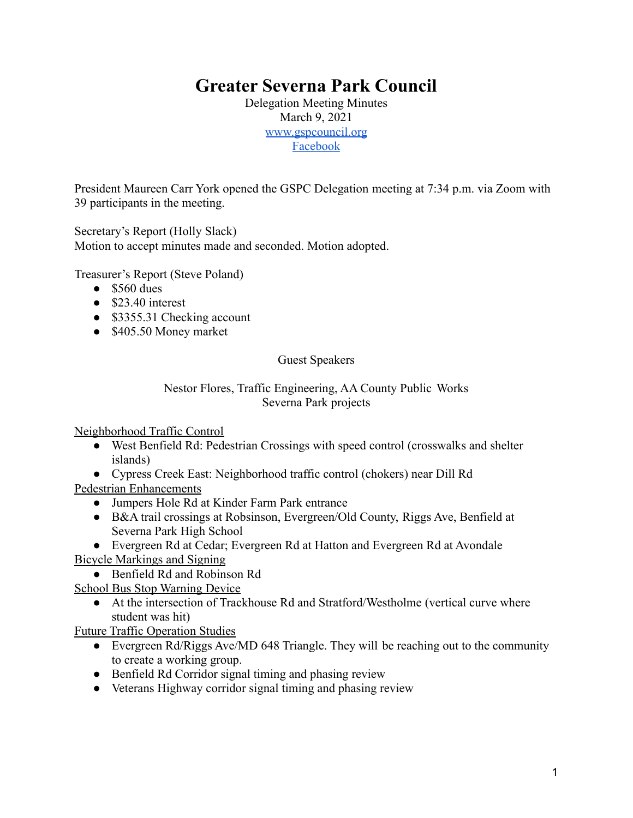# **Greater Severna Park Council**

Delegation Meeting Minutes March 9, 2021 [www.gspcouncil.org](http://www.gspcouncil.org/) [Facebook](https://www.facebook.com/severnaparkcouncil/)

President Maureen Carr York opened the GSPC Delegation meeting at 7:34 p.m. via Zoom with 39 participants in the meeting.

Secretary's Report (Holly Slack)

Motion to accept minutes made and seconded. Motion adopted.

Treasurer's Report (Steve Poland)

- $\bullet$  \$560 dues
- $\bullet$  \$23.40 interest
- \$3355.31 Checking account
- \$405.50 Money market

Guest Speakers

### Nestor Flores, Traffic Engineering, AA County Public Works Severna Park projects

Neighborhood Traffic Control

- West Benfield Rd: Pedestrian Crossings with speed control (crosswalks and shelter islands)
- Cypress Creek East: Neighborhood traffic control (chokers) near Dill Rd

Pedestrian Enhancements

- Jumpers Hole Rd at Kinder Farm Park entrance
- B&A trail crossings at Robsinson, Evergreen/Old County, Riggs Ave, Benfield at Severna Park High School
- Evergreen Rd at Cedar; Evergreen Rd at Hatton and Evergreen Rd at Avondale

Bicycle Markings and Signing

● Benfield Rd and Robinson Rd

School Bus Stop Warning Device

● At the intersection of Trackhouse Rd and Stratford/Westholme (vertical curve where student was hit)

Future Traffic Operation Studies

- Evergreen Rd/Riggs Ave/MD 648 Triangle. They will be reaching out to the community to create a working group.
- Benfield Rd Corridor signal timing and phasing review
- Veterans Highway corridor signal timing and phasing review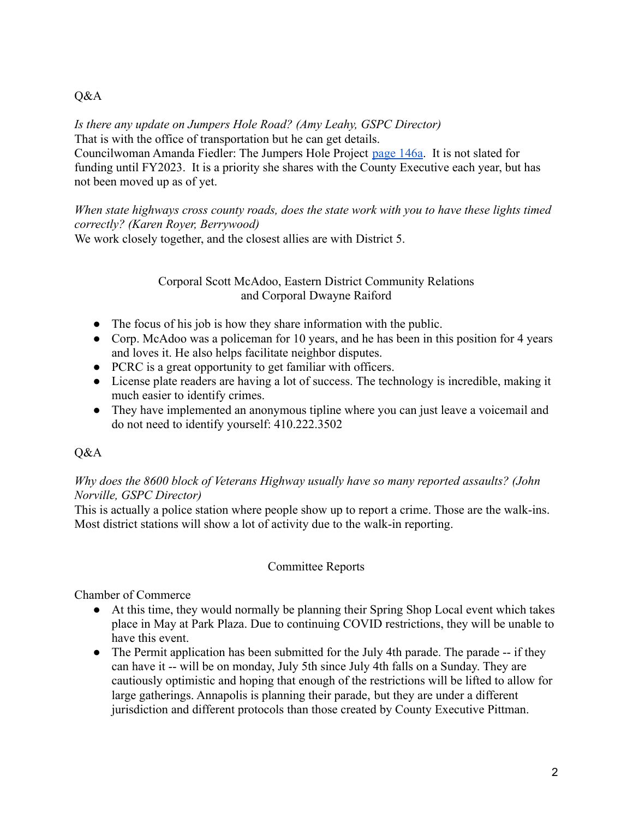## Q&A

*Is there any update on Jumpers Hole Road? (Amy Leahy, GSPC Director)* That is with the office of transportation but he can get details. Councilwoman Amanda Fiedler: The Jumpers Hole Project [page 146a](https://www.aacounty.org/departments/budget-office/forms-and-publications/fy-2021/FY2021%20Approved%20CIP_04_Roads%20and%20Bridges.pdf). It is not slated for funding until FY2023. It is a priority she shares with the County Executive each year, but has not been moved up as of yet.

*When state highways cross county roads, does the state work with you to have these lights timed correctly? (Karen Royer, Berrywood)*

We work closely together, and the closest allies are with District 5.

### Corporal Scott McAdoo, Eastern District Community Relations and Corporal Dwayne Raiford

- The focus of his job is how they share information with the public.
- Corp. McAdoo was a policeman for 10 years, and he has been in this position for 4 years and loves it. He also helps facilitate neighbor disputes.
- PCRC is a great opportunity to get familiar with officers.
- License plate readers are having a lot of success. The technology is incredible, making it much easier to identify crimes.
- They have implemented an anonymous tipline where you can just leave a voicemail and do not need to identify yourself: 410.222.3502

# Q&A

## *Why does the 8600 block of Veterans Highway usually have so many reported assaults? (John Norville, GSPC Director)*

This is actually a police station where people show up to report a crime. Those are the walk-ins. Most district stations will show a lot of activity due to the walk-in reporting.

### Committee Reports

Chamber of Commerce

- At this time, they would normally be planning their Spring Shop Local event which takes place in May at Park Plaza. Due to continuing COVID restrictions, they will be unable to have this event.
- The Permit application has been submitted for the July 4th parade. The parade -- if they can have it -- will be on monday, July 5th since July 4th falls on a Sunday. They are cautiously optimistic and hoping that enough of the restrictions will be lifted to allow for large gatherings. Annapolis is planning their parade, but they are under a different jurisdiction and different protocols than those created by County Executive Pittman.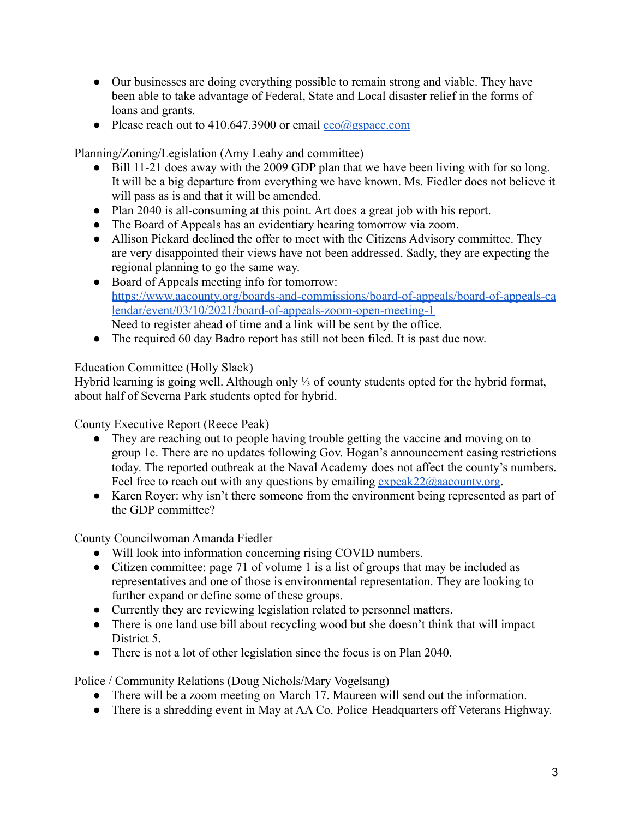- Our businesses are doing everything possible to remain strong and viable. They have been able to take advantage of Federal, State and Local disaster relief in the forms of loans and grants.
- Please reach out to 410.647.3900 or email  $ceo(a)$ gspacc.com

Planning/Zoning/Legislation (Amy Leahy and committee)

- Bill 11-21 does away with the 2009 GDP plan that we have been living with for so long. It will be a big departure from everything we have known. Ms. Fiedler does not believe it will pass as is and that it will be amended.
- Plan 2040 is all-consuming at this point. Art does a great job with his report.
- The Board of Appeals has an evidentiary hearing tomorrow via zoom.
- Allison Pickard declined the offer to meet with the Citizens Advisory committee. They are very disappointed their views have not been addressed. Sadly, they are expecting the regional planning to go the same way.
- Board of Appeals meeting info for tomorrow: [https://www.aacounty.org/boards-and-commissions/board-of-appeals/board-of-appeals-ca](https://www.aacounty.org/boards-and-commissions/board-of-appeals/board-of-appeals-calendar/event/03/10/2021/board-of-appeals-zoom-open-meeting-1) [lendar/event/03/10/2021/board-of-appeals-zoom-open-meeting-1](https://www.aacounty.org/boards-and-commissions/board-of-appeals/board-of-appeals-calendar/event/03/10/2021/board-of-appeals-zoom-open-meeting-1) Need to register ahead of time and a link will be sent by the office.
- The required 60 day Badro report has still not been filed. It is past due now.

# Education Committee (Holly Slack)

Hybrid learning is going well. Although only ⅓ of county students opted for the hybrid format, about half of Severna Park students opted for hybrid.

County Executive Report (Reece Peak)

- They are reaching out to people having trouble getting the vaccine and moving on to group 1c. There are no updates following Gov. Hogan's announcement easing restrictions today. The reported outbreak at the Naval Academy does not affect the county's numbers. Feel free to reach out with any questions by emailing  $expeak22$  ( $\partial$ ) aacounty.org.
- Karen Royer: why isn't there someone from the environment being represented as part of the GDP committee?

County Councilwoman Amanda Fiedler

- Will look into information concerning rising COVID numbers.
- Citizen committee: page 71 of volume 1 is a list of groups that may be included as representatives and one of those is environmental representation. They are looking to further expand or define some of these groups.
- Currently they are reviewing legislation related to personnel matters.
- There is one land use bill about recycling wood but she doesn't think that will impact District 5.
- There is not a lot of other legislation since the focus is on Plan 2040.

Police / Community Relations (Doug Nichols/Mary Vogelsang)

- There will be a zoom meeting on March 17. Maureen will send out the information.
- There is a shredding event in May at AA Co. Police Headquarters off Veterans Highway.